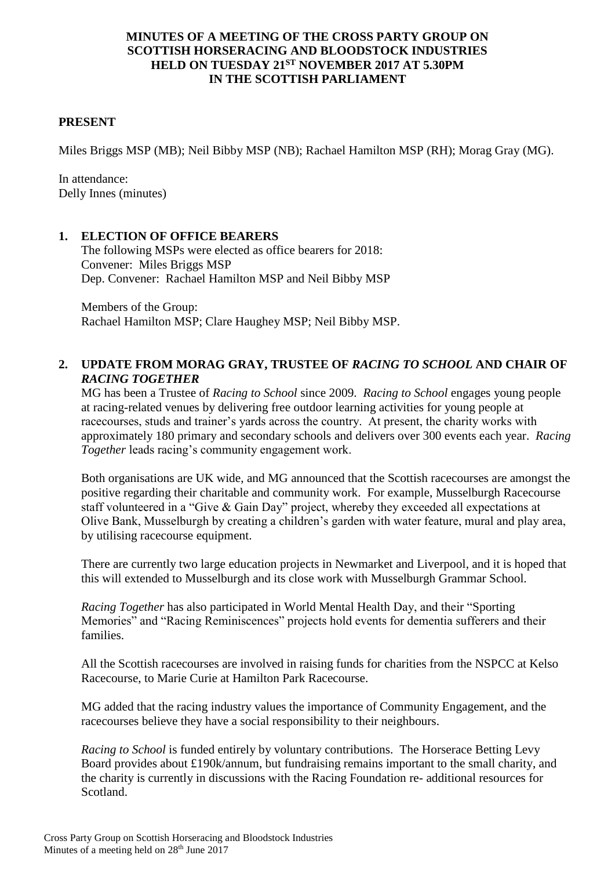### **MINUTES OF A MEETING OF THE CROSS PARTY GROUP ON SCOTTISH HORSERACING AND BLOODSTOCK INDUSTRIES HELD ON TUESDAY 21ST NOVEMBER 2017 AT 5.30PM IN THE SCOTTISH PARLIAMENT**

### **PRESENT**

Miles Briggs MSP (MB); Neil Bibby MSP (NB); Rachael Hamilton MSP (RH); Morag Gray (MG).

In attendance: Delly Innes (minutes)

### **1. ELECTION OF OFFICE BEARERS**

The following MSPs were elected as office bearers for 2018: Convener: Miles Briggs MSP Dep. Convener: Rachael Hamilton MSP and Neil Bibby MSP

Members of the Group: Rachael Hamilton MSP; Clare Haughey MSP; Neil Bibby MSP.

# **2. UPDATE FROM MORAG GRAY, TRUSTEE OF** *RACING TO SCHOOL* **AND CHAIR OF**  *RACING TOGETHER*

MG has been a Trustee of *Racing to School* since 2009. *Racing to School* engages young people at racing-related venues by delivering free outdoor learning activities for young people at racecourses, studs and trainer's yards across the country. At present, the charity works with approximately 180 primary and secondary schools and delivers over 300 events each year. *Racing Together* leads racing's community engagement work.

Both organisations are UK wide, and MG announced that the Scottish racecourses are amongst the positive regarding their charitable and community work. For example, Musselburgh Racecourse staff volunteered in a "Give & Gain Day" project, whereby they exceeded all expectations at Olive Bank, Musselburgh by creating a children's garden with water feature, mural and play area, by utilising racecourse equipment.

There are currently two large education projects in Newmarket and Liverpool, and it is hoped that this will extended to Musselburgh and its close work with Musselburgh Grammar School.

*Racing Together* has also participated in World Mental Health Day, and their "Sporting Memories" and "Racing Reminiscences" projects hold events for dementia sufferers and their families.

All the Scottish racecourses are involved in raising funds for charities from the NSPCC at Kelso Racecourse, to Marie Curie at Hamilton Park Racecourse.

MG added that the racing industry values the importance of Community Engagement, and the racecourses believe they have a social responsibility to their neighbours.

*Racing to School* is funded entirely by voluntary contributions. The Horserace Betting Levy Board provides about £190k/annum, but fundraising remains important to the small charity, and the charity is currently in discussions with the Racing Foundation re- additional resources for Scotland.